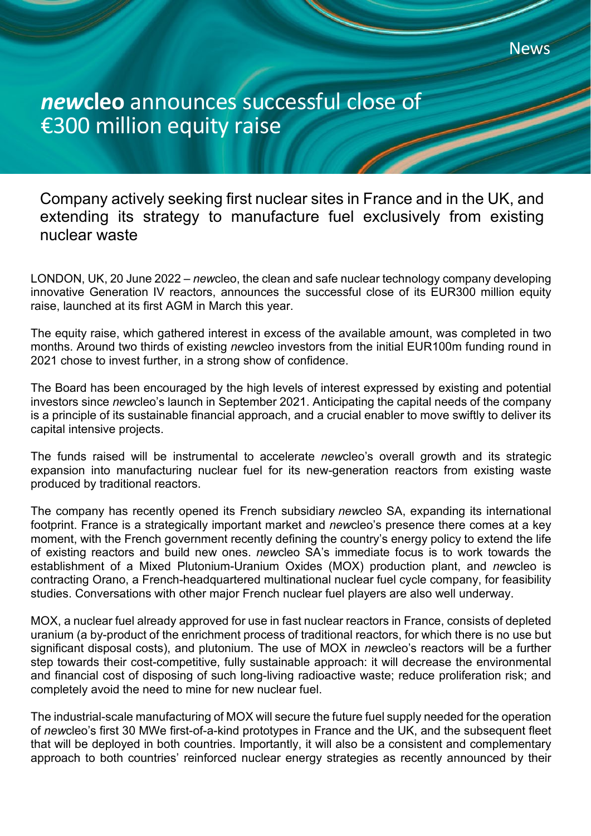Company actively seeking first nuclear sites in France and in the UK, and extending its strategy to manufacture fuel exclusively from existing nuclear waste

**News** 

LONDON, UK, 20 June 2022 – *new*cleo, the clean and safe nuclear technology company developing innovative Generation IV reactors, announces the successful close of its EUR300 million equity raise, launched at its first AGM in March this year.

The equity raise, which gathered interest in excess of the available amount, was completed in two months. Around two thirds of existing *new*cleo investors from the initial EUR100m funding round in 2021 chose to invest further, in a strong show of confidence.

The Board has been encouraged by the high levels of interest expressed by existing and potential investors since *new*cleo's launch in September 2021. Anticipating the capital needs of the company is a principle of its sustainable financial approach, and a crucial enabler to move swiftly to deliver its capital intensive projects.

The funds raised will be instrumental to accelerate *new*cleo's overall growth and its strategic expansion into manufacturing nuclear fuel for its new-generation reactors from existing waste produced by traditional reactors.

The company has recently opened its French subsidiary *new*cleo SA, expanding its international footprint. France is a strategically important market and *new*cleo's presence there comes at a key moment, with the French government recently defining the country's energy policy to extend the life of existing reactors and build new ones. *new*cleo SA's immediate focus is to work towards the establishment of a Mixed Plutonium-Uranium Oxides (MOX) production plant, and *new*cleo is contracting Orano, a French-headquartered multinational nuclear fuel cycle company, for feasibility studies. Conversations with other major French nuclear fuel players are also well underway.

MOX, a nuclear fuel already approved for use in fast nuclear reactors in France, consists of depleted uranium (a by-product of the enrichment process of traditional reactors, for which there is no use but significant disposal costs), and plutonium. The use of MOX in *new*cleo's reactors will be a further step towards their cost-competitive, fully sustainable approach: it will decrease the environmental and financial cost of disposing of such long-living radioactive waste; reduce proliferation risk; and completely avoid the need to mine for new nuclear fuel.

The industrial-scale manufacturing of MOX will secure the future fuel supply needed for the operation of *new*cleo's first 30 MWe first-of-a-kind prototypes in France and the UK, and the subsequent fleet that will be deployed in both countries. Importantly, it will also be a consistent and complementary approach to both countries' reinforced nuclear energy strategies as recently announced by their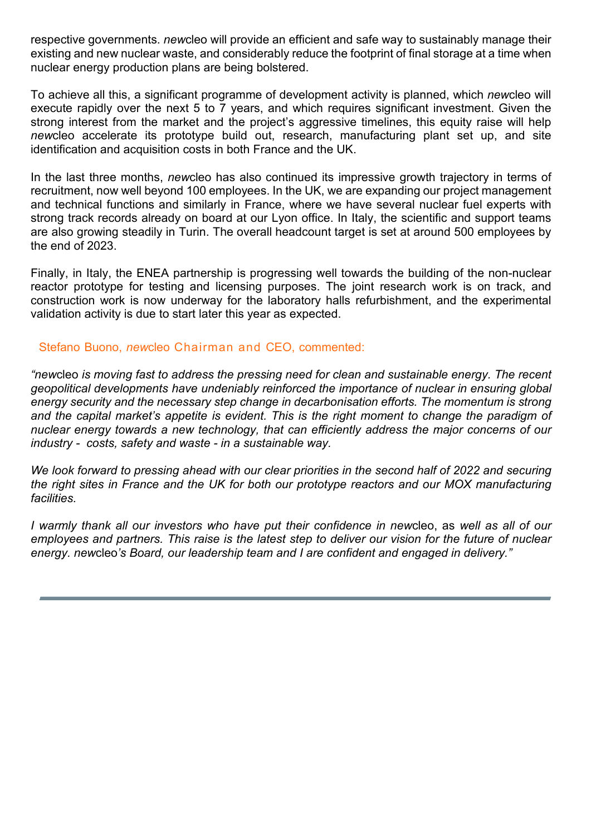respective governments. *new*cleo will provide an efficient and safe way to sustainably manage their existing and new nuclear waste, and considerably reduce the footprint of final storage at a time when nuclear energy production plans are being bolstered.

To achieve all this, a significant programme of development activity is planned, which *new*cleo will execute rapidly over the next 5 to 7 years, and which requires significant investment. Given the strong interest from the market and the project's aggressive timelines, this equity raise will help *new*cleo accelerate its prototype build out, research, manufacturing plant set up, and site identification and acquisition costs in both France and the UK.

In the last three months, *new*cleo has also continued its impressive growth trajectory in terms of recruitment, now well beyond 100 employees. In the UK, we are expanding our project management and technical functions and similarly in France, where we have several nuclear fuel experts with strong track records already on board at our Lyon office. In Italy, the scientific and support teams are also growing steadily in Turin. The overall headcount target is set at around 500 employees by the end of 2023.

Finally, in Italy, the ENEA partnership is progressing well towards the building of the non-nuclear reactor prototype for testing and licensing purposes. The joint research work is on track, and construction work is now underway for the laboratory halls refurbishment, and the experimental validation activity is due to start later this year as expected.

## Stefano Buono, *new*cleo Chairman and CEO, commented:

*"new*cleo *is moving fast to address the pressing need for clean and sustainable energy. The recent geopolitical developments have undeniably reinforced the importance of nuclear in ensuring global energy security and the necessary step change in decarbonisation efforts. The momentum is strong and the capital market's appetite is evident. This is the right moment to change the paradigm of nuclear energy towards a new technology, that can efficiently address the major concerns of our industry - costs, safety and waste - in a sustainable way.*

*We look forward to pressing ahead with our clear priorities in the second half of 2022 and securing the right sites in France and the UK for both our prototype reactors and our MOX manufacturing facilities.*

*I warmly thank all our investors who have put their confidence in new*cleo, as *well as all of our employees and partners. This raise is the latest step to deliver our vision for the future of nuclear energy. new*cleo*'s Board, our leadership team and I are confident and engaged in delivery."*